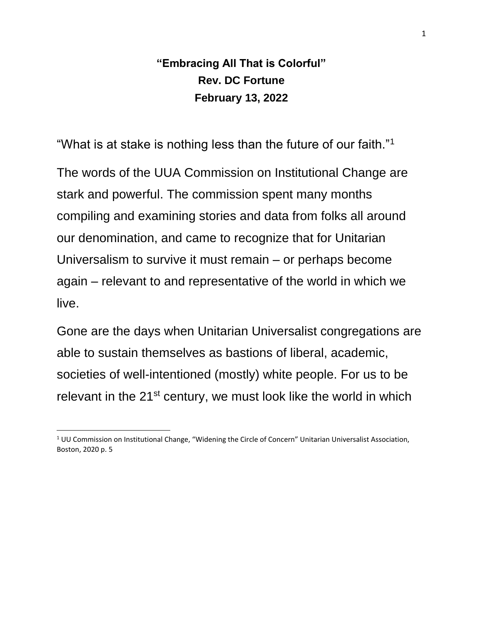## **"Embracing All That is Colorful" Rev. DC Fortune February 13, 2022**

"What is at stake is nothing less than the future of our faith."<sup>1</sup>

The words of the UUA Commission on Institutional Change are stark and powerful. The commission spent many months compiling and examining stories and data from folks all around our denomination, and came to recognize that for Unitarian Universalism to survive it must remain – or perhaps become again – relevant to and representative of the world in which we live.

Gone are the days when Unitarian Universalist congregations are able to sustain themselves as bastions of liberal, academic, societies of well-intentioned (mostly) white people. For us to be relevant in the 21<sup>st</sup> century, we must look like the world in which

 $1$  UU Commission on Institutional Change, "Widening the Circle of Concern" Unitarian Universalist Association, Boston, 2020 p. 5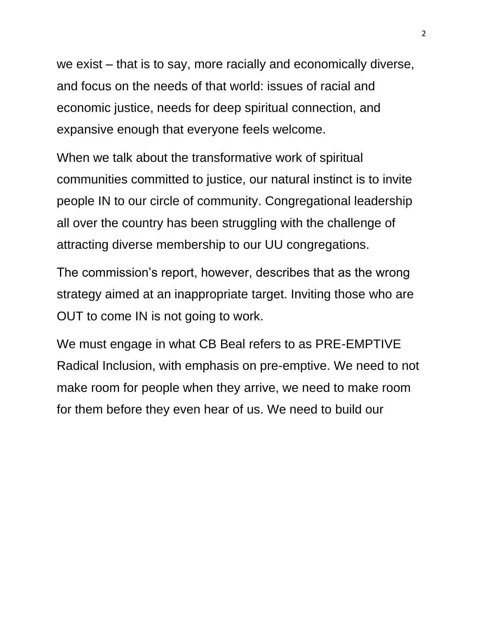we exist – that is to say, more racially and economically diverse, and focus on the needs of that world: issues of racial and economic justice, needs for deep spiritual connection, and expansive enough that everyone feels welcome.

When we talk about the transformative work of spiritual communities committed to justice, our natural instinct is to invite people IN to our circle of community. Congregational leadership all over the country has been struggling with the challenge of attracting diverse membership to our UU congregations.

The commission's report, however, describes that as the wrong strategy aimed at an inappropriate target. Inviting those who are OUT to come IN is not going to work.

We must engage in what CB Beal refers to as PRE-EMPTIVE Radical Inclusion, with emphasis on pre-emptive. We need to not make room for people when they arrive, we need to make room for them before they even hear of us. We need to build our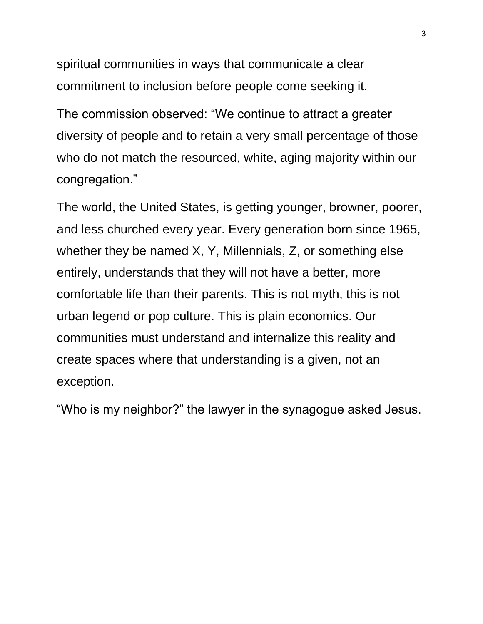spiritual communities in ways that communicate a clear commitment to inclusion before people come seeking it.

The commission observed: "We continue to attract a greater diversity of people and to retain a very small percentage of those who do not match the resourced, white, aging majority within our congregation."

The world, the United States, is getting younger, browner, poorer, and less churched every year. Every generation born since 1965, whether they be named X, Y, Millennials, Z, or something else entirely, understands that they will not have a better, more comfortable life than their parents. This is not myth, this is not urban legend or pop culture. This is plain economics. Our communities must understand and internalize this reality and create spaces where that understanding is a given, not an exception.

"Who is my neighbor?" the lawyer in the synagogue asked Jesus.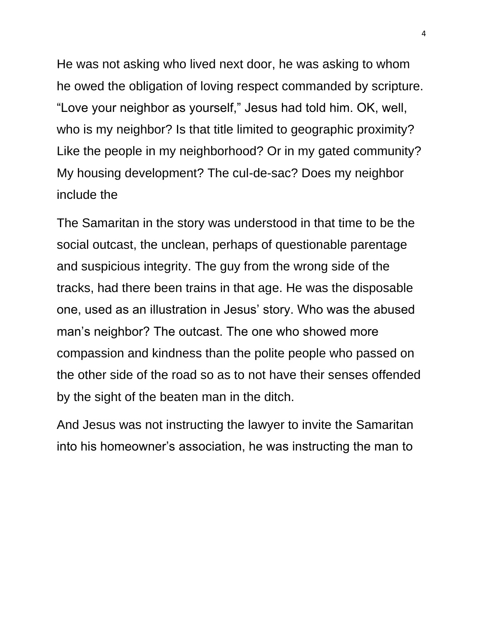He was not asking who lived next door, he was asking to whom he owed the obligation of loving respect commanded by scripture. "Love your neighbor as yourself," Jesus had told him. OK, well, who is my neighbor? Is that title limited to geographic proximity? Like the people in my neighborhood? Or in my gated community? My housing development? The cul-de-sac? Does my neighbor include the

The Samaritan in the story was understood in that time to be the social outcast, the unclean, perhaps of questionable parentage and suspicious integrity. The guy from the wrong side of the tracks, had there been trains in that age. He was the disposable one, used as an illustration in Jesus' story. Who was the abused man's neighbor? The outcast. The one who showed more compassion and kindness than the polite people who passed on the other side of the road so as to not have their senses offended by the sight of the beaten man in the ditch.

And Jesus was not instructing the lawyer to invite the Samaritan into his homeowner's association, he was instructing the man to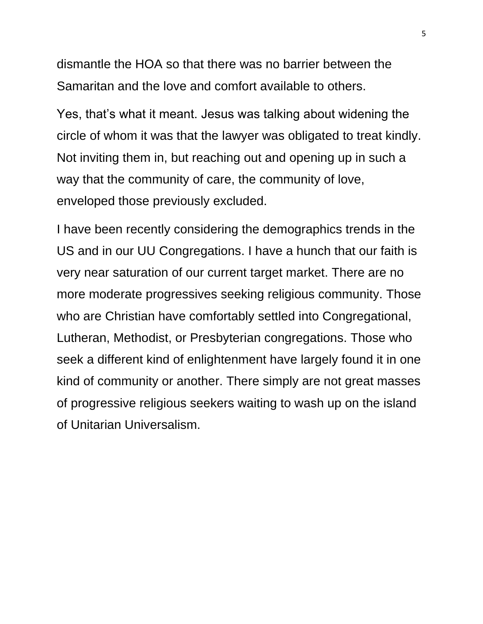dismantle the HOA so that there was no barrier between the Samaritan and the love and comfort available to others.

Yes, that's what it meant. Jesus was talking about widening the circle of whom it was that the lawyer was obligated to treat kindly. Not inviting them in, but reaching out and opening up in such a way that the community of care, the community of love, enveloped those previously excluded.

I have been recently considering the demographics trends in the US and in our UU Congregations. I have a hunch that our faith is very near saturation of our current target market. There are no more moderate progressives seeking religious community. Those who are Christian have comfortably settled into Congregational, Lutheran, Methodist, or Presbyterian congregations. Those who seek a different kind of enlightenment have largely found it in one kind of community or another. There simply are not great masses of progressive religious seekers waiting to wash up on the island of Unitarian Universalism.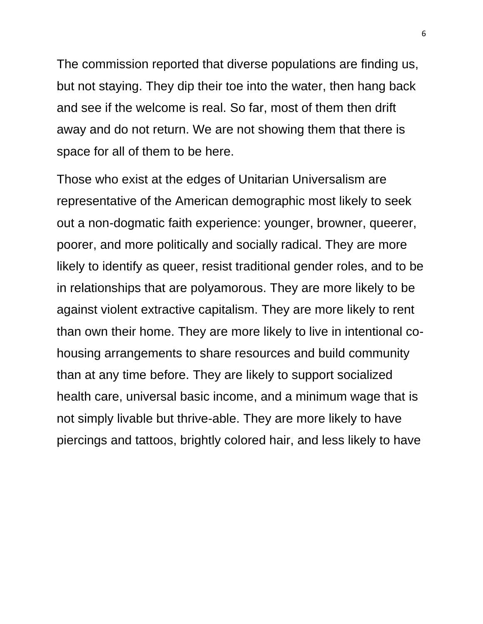The commission reported that diverse populations are finding us, but not staying. They dip their toe into the water, then hang back and see if the welcome is real. So far, most of them then drift away and do not return. We are not showing them that there is space for all of them to be here.

Those who exist at the edges of Unitarian Universalism are representative of the American demographic most likely to seek out a non-dogmatic faith experience: younger, browner, queerer, poorer, and more politically and socially radical. They are more likely to identify as queer, resist traditional gender roles, and to be in relationships that are polyamorous. They are more likely to be against violent extractive capitalism. They are more likely to rent than own their home. They are more likely to live in intentional cohousing arrangements to share resources and build community than at any time before. They are likely to support socialized health care, universal basic income, and a minimum wage that is not simply livable but thrive-able. They are more likely to have piercings and tattoos, brightly colored hair, and less likely to have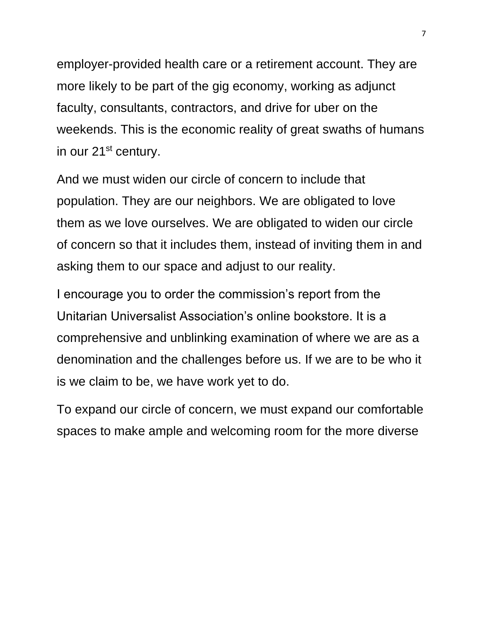employer-provided health care or a retirement account. They are more likely to be part of the gig economy, working as adjunct faculty, consultants, contractors, and drive for uber on the weekends. This is the economic reality of great swaths of humans in our 21<sup>st</sup> century.

And we must widen our circle of concern to include that population. They are our neighbors. We are obligated to love them as we love ourselves. We are obligated to widen our circle of concern so that it includes them, instead of inviting them in and asking them to our space and adjust to our reality.

I encourage you to order the commission's report from the Unitarian Universalist Association's online bookstore. It is a comprehensive and unblinking examination of where we are as a denomination and the challenges before us. If we are to be who it is we claim to be, we have work yet to do.

To expand our circle of concern, we must expand our comfortable spaces to make ample and welcoming room for the more diverse